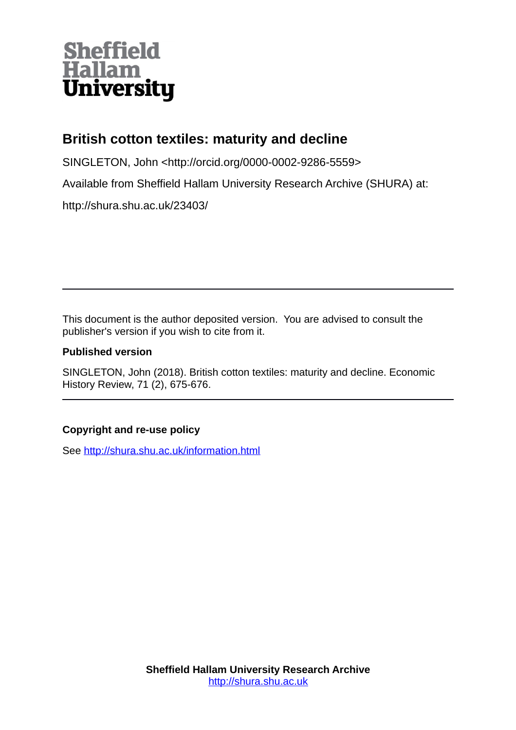## **Sheffield<br>Hallam<br>University**

## **British cotton textiles: maturity and decline**

SINGLETON, John <http://orcid.org/0000-0002-9286-5559>

Available from Sheffield Hallam University Research Archive (SHURA) at:

http://shura.shu.ac.uk/23403/

This document is the author deposited version. You are advised to consult the publisher's version if you wish to cite from it.

## **Published version**

SINGLETON, John (2018). British cotton textiles: maturity and decline. Economic History Review, 71 (2), 675-676.

## **Copyright and re-use policy**

See<http://shura.shu.ac.uk/information.html>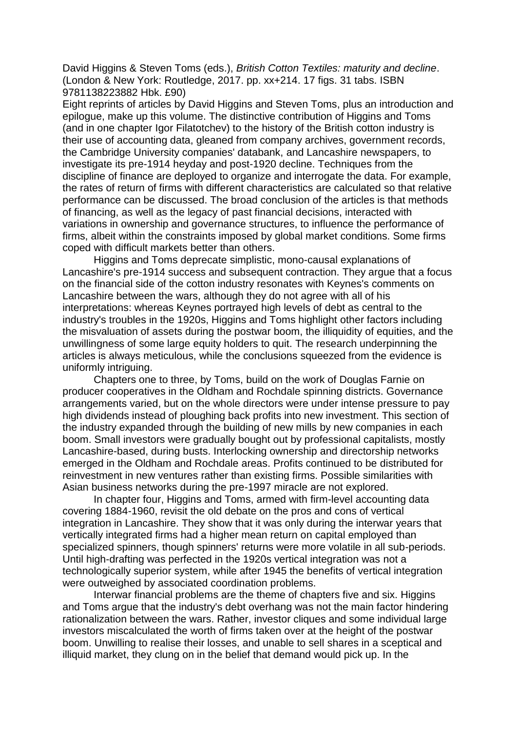David Higgins & Steven Toms (eds.), *British Cotton Textiles: maturity and decline*. (London & New York: Routledge, 2017. pp. xx+214. 17 figs. 31 tabs. ISBN 9781138223882 Hbk. £90)

Eight reprints of articles by David Higgins and Steven Toms, plus an introduction and epilogue, make up this volume. The distinctive contribution of Higgins and Toms (and in one chapter Igor Filatotchev) to the history of the British cotton industry is their use of accounting data, gleaned from company archives, government records, the Cambridge University companies' databank, and Lancashire newspapers, to investigate its pre-1914 heyday and post-1920 decline. Techniques from the discipline of finance are deployed to organize and interrogate the data. For example, the rates of return of firms with different characteristics are calculated so that relative performance can be discussed. The broad conclusion of the articles is that methods of financing, as well as the legacy of past financial decisions, interacted with variations in ownership and governance structures, to influence the performance of firms, albeit within the constraints imposed by global market conditions. Some firms coped with difficult markets better than others.

Higgins and Toms deprecate simplistic, mono-causal explanations of Lancashire's pre-1914 success and subsequent contraction. They argue that a focus on the financial side of the cotton industry resonates with Keynes's comments on Lancashire between the wars, although they do not agree with all of his interpretations: whereas Keynes portrayed high levels of debt as central to the industry's troubles in the 1920s, Higgins and Toms highlight other factors including the misvaluation of assets during the postwar boom, the illiquidity of equities, and the unwillingness of some large equity holders to quit. The research underpinning the articles is always meticulous, while the conclusions squeezed from the evidence is uniformly intriguing.

Chapters one to three, by Toms, build on the work of Douglas Farnie on producer cooperatives in the Oldham and Rochdale spinning districts. Governance arrangements varied, but on the whole directors were under intense pressure to pay high dividends instead of ploughing back profits into new investment. This section of the industry expanded through the building of new mills by new companies in each boom. Small investors were gradually bought out by professional capitalists, mostly Lancashire-based, during busts. Interlocking ownership and directorship networks emerged in the Oldham and Rochdale areas. Profits continued to be distributed for reinvestment in new ventures rather than existing firms. Possible similarities with Asian business networks during the pre-1997 miracle are not explored.

In chapter four, Higgins and Toms, armed with firm-level accounting data covering 1884-1960, revisit the old debate on the pros and cons of vertical integration in Lancashire. They show that it was only during the interwar years that vertically integrated firms had a higher mean return on capital employed than specialized spinners, though spinners' returns were more volatile in all sub-periods. Until high-drafting was perfected in the 1920s vertical integration was not a technologically superior system, while after 1945 the benefits of vertical integration were outweighed by associated coordination problems.

Interwar financial problems are the theme of chapters five and six. Higgins and Toms argue that the industry's debt overhang was not the main factor hindering rationalization between the wars. Rather, investor cliques and some individual large investors miscalculated the worth of firms taken over at the height of the postwar boom. Unwilling to realise their losses, and unable to sell shares in a sceptical and illiquid market, they clung on in the belief that demand would pick up. In the